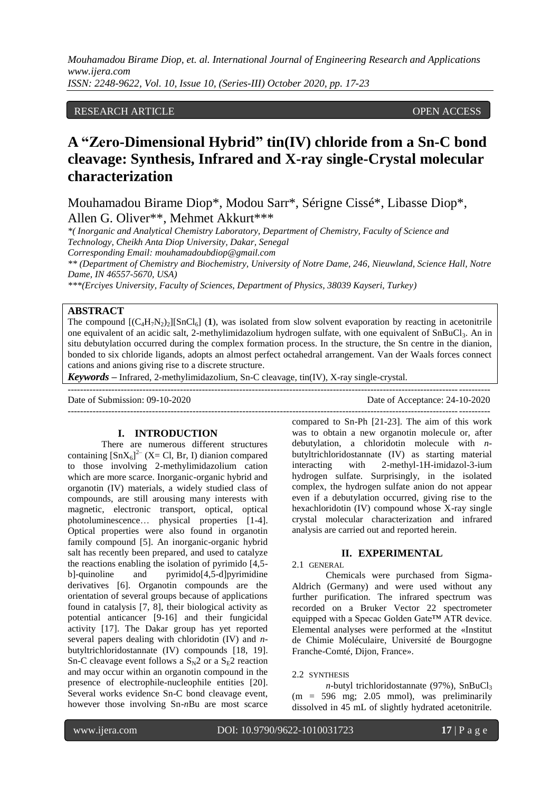RESEARCH ARTICLE **ARTICLE** And the contract of the contract of the contract of the contract of the contract of the contract of the contract of the contract of the contract of the contract of the contract of the contract of

# **A "Zero-Dimensional Hybrid" tin(IV) chloride from a Sn-C bond cleavage: Synthesis, Infrared and X-ray single-Crystal molecular characterization**

Mouhamadou Birame Diop\*, Modou Sarr\*, Sérigne Cissé\*, Libasse Diop\*, Allen G. Oliver\*\*, Mehmet Akkurt\*\*\*

*\*( Inorganic and Analytical Chemistry Laboratory, Department of Chemistry, Faculty of Science and Technology, Cheikh Anta Diop University, Dakar, Senegal*

*Corresponding Email: [mouhamadoubdiop@gmail.com](mailto:mouhamadoubdiop@gmail.com)*

*\*\* (Department of Chemistry and Biochemistry, University of Notre Dame, 246, Nieuwland, Science Hall, Notre Dame, IN 46557-5670, USA)*

*\*\*\*(Erciyes University, Faculty of Sciences, Department of Physics, 38039 Kayseri, Turkey)*

## **ABSTRACT**

The compound  $[(C_4H_7N_2)_2][SnCl_6]$  (1), was isolated from slow solvent evaporation by reacting in acetonitrile one equivalent of an acidic salt, 2-methylimidazolium hydrogen sulfate, with one equivalent of SnBuCl3. An in situ debutylation occurred during the complex formation process. In the structure, the Sn centre in the dianion, bonded to six chloride ligands, adopts an almost perfect octahedral arrangement. Van der Waals forces connect cations and anions giving rise to a discrete structure.

 $-1-\frac{1}{2}$ 

*Keywords* **–** Infrared, 2-methylimidazolium, Sn-C cleavage, tin(IV), X-ray single-crystal.

Date of Submission: 09-10-2020 Date of Acceptance: 24-10-2020

---------------------------------------------------------------------------------------------------------------------------------------

## **I. INTRODUCTION**

There are numerous different structures containing  $\left[SnX_6\right]^2$  (X= Cl, Br, I) dianion compared to those involving 2-methylimidazolium cation which are more scarce. Inorganic-organic hybrid and organotin (IV) materials, a widely studied class of compounds, are still arousing many interests with magnetic, electronic transport, optical, optical photoluminescence… physical properties [1-4]. Optical properties were also found in organotin family compound [5]. An inorganic-organic hybrid salt has recently been prepared, and used to catalyze the reactions enabling the isolation of pyrimido [4,5 b]-quinoline and pyrimido[4,5-d]pyrimidine derivatives [6]. Organotin compounds are the orientation of several groups because of applications found in catalysis [7, 8], their biological activity as potential anticancer [9-16] and their fungicidal activity [17]. The Dakar group has yet reported several papers dealing with chloridotin (IV) and *n*butyltrichloridostannate (IV) compounds [18, 19]. Sn-C cleavage event follows a  $S_N2$  or a  $S_E2$  reaction and may occur within an organotin compound in the presence of electrophile-nucleophile entities [20]. Several works evidence Sn-C bond cleavage event, however those involving Sn-*n*Bu are most scarce

compared to Sn-Ph [21-23]. The aim of this work was to obtain a new organotin molecule or, after debutylation, a chloridotin molecule with *n*butyltrichloridostannate (IV) as starting material interacting with 2-methyl-1H-imidazol-3-ium hydrogen sulfate. Surprisingly, in the isolated complex, the hydrogen sulfate anion do not appear even if a debutylation occurred, giving rise to the hexachloridotin (IV) compound whose X-ray single crystal molecular characterization and infrared analysis are carried out and reported herein.

### **II. EXPERIMENTAL**

## 2.1 GENERAL

Chemicals were purchased from Sigma-Aldrich (Germany) and were used without any further purification. The infrared spectrum was recorded on a Bruker Vector 22 spectrometer equipped with a Specac Golden Gate™ ATR device. Elemental analyses were performed at the «Institut de Chimie Moléculaire, Université de Bourgogne Franche-Comté, Dijon, France».

## 2.2 SYNTHESIS

*n*-butyl trichloridostannate  $(97%)$ , SnBuCl<sub>3</sub>  $(m = 596 \text{ mg}; 2.05 \text{ mmol})$ , was preliminarily dissolved in 45 mL of slightly hydrated acetonitrile.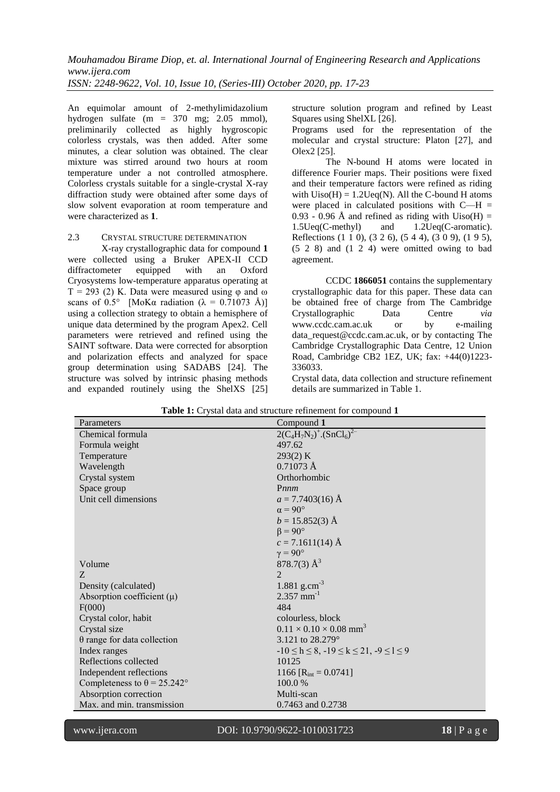An equimolar amount of 2-methylimidazolium hydrogen sulfate (m = 370 mg; 2.05 mmol), preliminarily collected as highly hygroscopic colorless crystals, was then added. After some minutes, a clear solution was obtained. The clear mixture was stirred around two hours at room temperature under a not controlled atmosphere. Colorless crystals suitable for a single-crystal X-ray diffraction study were obtained after some days of slow solvent evaporation at room temperature and were characterized as **1**.

## 2.3 CRYSTAL STRUCTURE DETERMINATION

X-ray crystallographic data for compound **1** were collected using a Bruker APEX-II CCD diffractometer equipped with an Oxford Cryosystems low-temperature apparatus operating at T = 293 (2) K. Data were measured using  $\varphi$  and  $\omega$ scans of 0.5° [MoK $\alpha$  radiation ( $\lambda = 0.71073$  Å)] using a collection strategy to obtain a hemisphere of unique data determined by the program Apex2. Cell parameters were retrieved and refined using the SAINT software. Data were corrected for absorption and polarization effects and analyzed for space group determination using SADABS [24]. The structure was solved by intrinsic phasing methods and expanded routinely using the ShelXS [25]

structure solution program and refined by Least Squares using ShelXL [26].

Programs used for the representation of the molecular and crystal structure: Platon [27], and Olex2 [25].

The N-bound H atoms were located in difference Fourier maps. Their positions were fixed and their temperature factors were refined as riding with  $Uiso(H) = 1.2Ueq(N)$ . All the C-bound H atoms were placed in calculated positions with  $C-H =$ 0.93 - 0.96 Å and refined as riding with  $Uiso(H) =$ 1.5Ueq(C-methyl) and 1.2Ueq(C-aromatic). Reflections (1 1 0), (3 2 6), (5 4 4), (3 0 9), (1 9 5), (5 2 8) and (1 2 4) were omitted owing to bad agreement.

CCDC **1866051** contains the supplementary crystallographic data for this paper. These data can be obtained free of charge from The Cambridge Crystallographic Data Centre *via*  [www.ccdc.cam.ac.uk](http://www.ccdc.cam.ac.uk/) or by e-mailing [data\\_request@ccdc.cam.ac.uk,](mailto:data_request@ccdc.cam.ac.uk) or by contacting The Cambridge Crystallographic Data Centre, 12 Union Road, Cambridge CB2 1EZ, UK; fax: +44(0)1223- 336033.

Crystal data, data collection and structure refinement details are summarized in Table 1.

| Parameters                         | Compound 1                                          |
|------------------------------------|-----------------------------------------------------|
| Chemical formula                   | $2(C_4H_7N_2)^+$ . $(SnCl_6)^{2-}$                  |
| Formula weight                     | 497.62                                              |
| Temperature                        | 293(2) K                                            |
| Wavelength                         | $0.71073 \text{ Å}$                                 |
| Crystal system                     | Orthorhombic                                        |
| Space group                        | Pnnm                                                |
| Unit cell dimensions               | $a = 7.7403(16)$ Å                                  |
|                                    | $\alpha = 90^{\circ}$                               |
|                                    | $b = 15.852(3)$ Å                                   |
|                                    | $\beta = 90^\circ$                                  |
|                                    | $c = 7.1611(14)$ Å                                  |
|                                    | $\gamma = 90^{\circ}$                               |
| Volume                             | 878.7(3) $\AA^3$                                    |
| Z.                                 | $\mathfrak{D}$                                      |
| Density (calculated)               | 1.881 g.cm <sup>-3</sup>                            |
| Absorption coefficient $(\mu)$     | $2.357$ mm <sup>-1</sup>                            |
| F(000)                             | 484                                                 |
| Crystal color, habit               | colourless, block                                   |
| Crystal size                       | $0.11 \times 0.10 \times 0.08$ mm <sup>3</sup>      |
| $\theta$ range for data collection | 3.121 to $28.279^{\circ}$                           |
| Index ranges                       | $-10 \le h \le 8, -19 \le k \le 21, -9 \le l \le 9$ |
| Reflections collected              | 10125                                               |
| Independent reflections            | 1166 [ $R_{\text{int}} = 0.0741$ ]                  |
| Completeness to $\theta$ = 25.242° | 100.0 %                                             |
| Absorption correction              | Multi-scan                                          |
| Max. and min. transmission         | 0.7463 and 0.2738                                   |

**Table 1:** Crystal data and structure refinement for compound **1**

www.ijera.com DOI: 10.9790/9622-1010031723 **18** | P a g e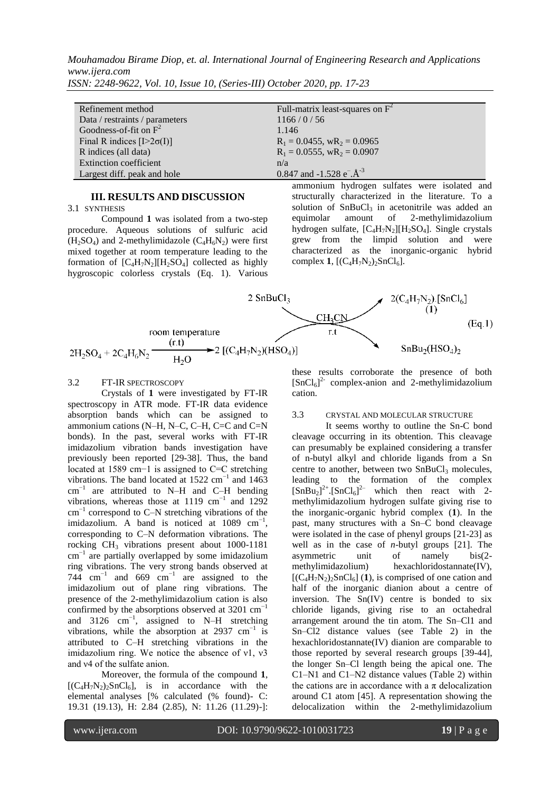*Mouhamadou Birame Diop, et. al. International Journal of Engineering Research and Applications www.ijera.com*

| Refinement method                | Full-matrix least-squares on $F^2$    |
|----------------------------------|---------------------------------------|
| Data / restraints / parameters   | 1166/0/56                             |
| Goodness-of-fit on $F^2$         | 1.146                                 |
| Final R indices $[I>2\sigma(I)]$ | $R_1 = 0.0455$ , $wR_2 = 0.0965$      |
| R indices (all data)             | $R_1 = 0.0555$ , $wR_2 = 0.0907$      |
| <b>Extinction coefficient</b>    | n/a                                   |
| Largest diff. peak and hole      | 0.847 and -1.528 $e^{-}\text{A}^{-3}$ |
|                                  |                                       |

*ISSN: 2248-9622, Vol. 10, Issue 10, (Series-III) October 2020, pp. 17-23*

## **III. RESULTS AND DISCUSSION**

3.1 SYNTHESIS

Compound **1** was isolated from a two-step procedure. Aqueous solutions of sulfuric acid  $(H<sub>2</sub>SO<sub>4</sub>)$  and 2-methylimidazole  $(C<sub>4</sub>H<sub>6</sub>N<sub>2</sub>)$  were first mixed together at room temperature leading to the formation of  $[C_4H_7N_2][H_2SO_4]$  collected as highly hygroscopic colorless crystals (Eq. 1). Various ammonium hydrogen sulfates were isolated and structurally characterized in the literature. To a solution of  $SnBuCl<sub>3</sub>$  in acetonitrile was added an equimolar amount of 2-methylimidazolium 2-methylimidazolium hydrogen sulfate,  $[C_4H_7N_2][H_2SO_4]$ . Single crystals grew from the limpid solution and were characterized as the inorganic-organic hybrid complex **1**,  $[(C_4H_7N_2)_2SnCl_6]$ .



### 3.2 FT-IR SPECTROSCOPY

Crystals of **1** were investigated by FT-IR spectroscopy in ATR mode. FT-IR data evidence absorption bands which can be assigned to ammonium cations (N–H, N–C, C–H, C=C and C=N bonds). In the past, several works with FT-IR imidazolium vibration bands investigation have previously been reported [29-38]. Thus, the band located at 1589 cm−1 is assigned to C=C stretching vibrations. The band located at  $1522 \text{ cm}^{-1}$  and  $1463$  $cm^{-1}$  are attributed to N–H and C–H bending vibrations, whereas those at 1119  $cm^{-1}$  and 1292 cm−1 correspond to C–N stretching vibrations of the imidazolium. A band is noticed at  $1089 \text{ cm}^{-1}$ , corresponding to C–N deformation vibrations. The rocking CH<sup>3</sup> vibrations present about 1000-1181 cm−1 are partially overlapped by some imidazolium ring vibrations. The very strong bands observed at 744  $\text{cm}^{-1}$  and 669  $\text{cm}^{-1}$  are assigned to the imidazolium out of plane ring vibrations. The presence of the 2-methylimidazolium cation is also confirmed by the absorptions observed at  $3201 \text{ cm}^{-1}$ and 3126  $cm^{-1}$ , assigned to N–H stretching vibrations, while the absorption at 2937  $cm^{-1}$  is attributed to C–H stretching vibrations in the imidazolium ring. We notice the absence of ν1, ν3 and ν4 of the sulfate anion.

Moreover, the formula of the compound **1**,  $[(C_4H_7N_2)_2SnCl_6]$ , is in accordance with the elemental analyses [% calculated (% found)- C: 19.31 (19.13), H: 2.84 (2.85), N: 11.26 (11.29)-]: these results corroborate the presence of both  $[SnCl<sub>6</sub>]<sup>2</sup>$  complex-anion and 2-methylimidazolium cation.

## 3.3 CRYSTAL AND MOLECULAR STRUCTURE

It seems worthy to outline the Sn-C bond cleavage occurring in its obtention. This cleavage can presumably be explained considering a transfer of n-butyl alkyl and chloride ligands from a Sn centre to another, between two  $SnBuCl<sub>3</sub>$  molecules, leading to the formation of the complex  $\left[\text{SnBu}_2\right]^{2+}$ . $\left[\text{SnCl}_6\right]^{2-}$  which then react with 2methylimidazolium hydrogen sulfate giving rise to the inorganic-organic hybrid complex (**1**). In the past, many structures with a Sn–C bond cleavage were isolated in the case of phenyl groups [21-23] as well as in the case of *n*-butyl groups [21]. The asymmetric unit of namely bis(2 methylimidazolium) hexachloridostannate(IV),  $[(C_4H_7N_2)_2SnCl_6]$  (1), is comprised of one cation and half of the inorganic dianion about a centre of inversion. The Sn(IV) centre is bonded to six chloride ligands, giving rise to an octahedral arrangement around the tin atom. The Sn–Cl1 and Sn–Cl2 distance values (see Table 2) in the hexachloridostannate(IV) dianion are comparable to those reported by several research groups [39-44], the longer Sn–Cl length being the apical one. The C1–N1 and C1–N2 distance values (Table 2) within the cations are in accordance with a  $\pi$  delocalization around C1 atom [45]. A representation showing the delocalization within the 2-methylimidazolium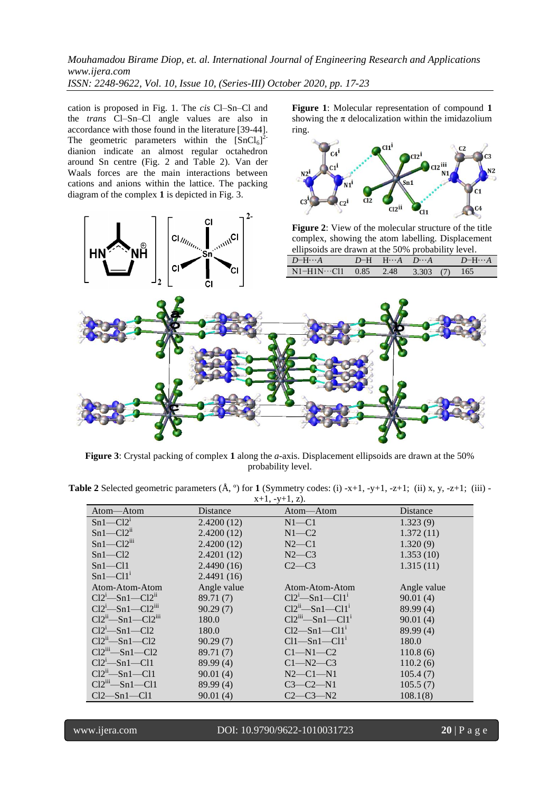ring.

 $C<sub>4</sub>$ 

**Figure 1**: Molecular representation of compound **1** showing the  $\pi$  delocalization within the imidazolium

 $Cl1<sup>1</sup>$ 

 $C<sub>1</sub>$ 

cation is proposed in Fig. 1. The *cis* Cl–Sn–Cl and the *trans* Cl–Sn–Cl angle values are also in accordance with those found in the literature [39-44]. The geometric parameters within the  $[SnCl_6]^2$ dianion indicate an almost regular octahedron around Sn centre (Fig. 2 and Table 2). Van der Waals forces are the main interactions between cations and anions within the lattice. The packing diagram of the complex **1** is depicted in Fig. 3.



**Figure 3**: Crystal packing of complex **1** along the *a*-axis. Displacement ellipsoids are drawn at the 50% probability level.

| <b>Table 2</b> Selected geometric parameters $(\mathbf{A}, \circ)$ for 1 (Symmetry codes: (i) -x+1, -y+1, -z+1; (ii) x, y, -z+1; (iii) - |                |  |  |
|------------------------------------------------------------------------------------------------------------------------------------------|----------------|--|--|
|                                                                                                                                          | $-1$ $-1$ $-1$ |  |  |

| $x+1, -y+1, z$ .         |             |                               |             |  |  |  |
|--------------------------|-------------|-------------------------------|-------------|--|--|--|
| Atom-Atom                | Distance    | Atom-Atom                     | Distance    |  |  |  |
| $Sn1-C121$               | 2.4200(12)  | $N1 - C1$                     | 1.323(9)    |  |  |  |
| $Sn1-C12$ <sup>ii</sup>  | 2.4200(12)  | $N1 - C2$                     | 1.372(11)   |  |  |  |
| $Sn1-C12$ <sup>iii</sup> | 2.4200(12)  | $N2-C1$                       | 1.320(9)    |  |  |  |
| $Sn1-C12$                | 2.4201(12)  | $N2-C3$                       | 1.353(10)   |  |  |  |
| $Sn1 - Cl1$              | 2.4490(16)  | $C2-C3$                       | 1.315(11)   |  |  |  |
| $Sn1-C11$ <sup>i</sup>   | 2.4491(16)  |                               |             |  |  |  |
| Atom-Atom-Atom           | Angle value | Atom-Atom-Atom                | Angle value |  |  |  |
| $Cl2^1$ -Sn1- $Cl2^1$    | 89.71 (7)   | $Cl2^1$ —Sn1—Cl1 <sup>1</sup> | 90.01(4)    |  |  |  |
| $Cl2i - Sn1 - Cl2iii$    | 90.29(7)    | $Cl2n$ -Sn1-Cl1 <sup>1</sup>  | 89.99 (4)   |  |  |  |
| $Cl2ii$ -Sn1- $Cl2iii$   | 180.0       | $Cl2iii$ -Sn1- $Cl11$         | 90.01(4)    |  |  |  |
| $Cl2^1$ —Sn1—Cl2         | 180.0       | $Cl2-Sn1-Cl1'$                | 89.99 (4)   |  |  |  |
| $Cl2n$ -Sn1-Cl2          | 90.29(7)    | $Cl1 - Sn1 - Cl1'$            | 180.0       |  |  |  |
| $Cl2^m$ -Sn1-Cl2         | 89.71(7)    | $C1-M1-C2$                    | 110.8(6)    |  |  |  |
| $Cl2^1$ -Sn1-Cl1         | 89.99 (4)   | $C1 - N2 - C3$                | 110.2(6)    |  |  |  |
| $Cl2n$ -Sn1-Cl1          | 90.01(4)    | $N2$ — $C1$ — $N1$            | 105.4(7)    |  |  |  |
| $Cl2in$ -Sn1-Cl1         | 89.99 (4)   | C3—C2—N1                      | 105.5(7)    |  |  |  |
| $Cl2-Sn1-Cl1$            | 90.01(4)    | C2—C3—N2                      | 108.1(8)    |  |  |  |

www.ijera.com DOI: 10.9790/9622-1010031723 **20** | P a g e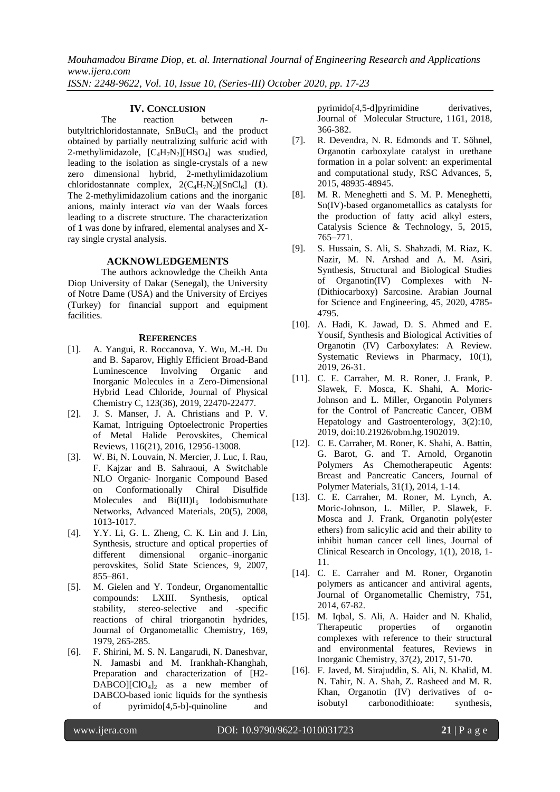## **IV. CONCLUSION**

The reaction between *n*butyltrichloridostannate,  $SnBuCl<sub>3</sub>$  and the product obtained by partially neutralizing sulfuric acid with 2-methylimidazole,  $[C_4H_7N_2][HSO_4]$  was studied, leading to the isolation as single-crystals of a new zero dimensional hybrid, 2-methylimidazolium chloridostannate complex,  $2(C_4H_7N_2)[SnCl_6]$  (1). The 2-methylimidazolium cations and the inorganic anions, mainly interact *via* van der Waals forces leading to a discrete structure. The characterization of **1** was done by infrared, elemental analyses and Xray single crystal analysis.

## **ACKNOWLEDGEMENTS**

The authors acknowledge the Cheikh Anta Diop University of Dakar (Senegal), the University of Notre Dame (USA) and the University of Erciyes (Turkey) for financial support and equipment facilities.

### **REFERENCES**

- [1]. A. Yangui, R. Roccanova, Y. Wu, M.-H. Du and B. Saparov, Highly Efficient Broad-Band Luminescence Involving Organic and Inorganic Molecules in a Zero-Dimensional Hybrid Lead Chloride, Journal of Physical Chemistry C, 123(36), 2019, 22470-22477.
- [2]. J. S. Manser, J. A. Christians and P. V. Kamat, Intriguing Optoelectronic Properties of Metal Halide Perovskites, Chemical Reviews, 116(21), 2016, 12956-13008.
- [3]. W. Bi, N. Louvain, N. Mercier, J. Luc, I. Rau, F. Kajzar and B. Sahraoui, A Switchable NLO Organic‐ Inorganic Compound Based on Conformationally Chiral Disulfide Molecules and  $Bi(III)I_5$  Iodobismuthate Networks, Advanced Materials, 20(5), 2008, 1013-1017.
- [4]. Y.Y. Li, G. L. Zheng, C. K. Lin and J. Lin, [Synthesis, structure and optical properties of](https://www.sciencedirect.com/science/article/pii/S1293255807001446)  [different dimensional organic–inorganic](https://www.sciencedirect.com/science/article/pii/S1293255807001446)  [perovskites,](https://www.sciencedirect.com/science/article/pii/S1293255807001446) Solid State Sciences, 9, 2007, 855–861.
- [5]. M. Gielen and Y. Tondeur, Organomentallic compounds: LXIII. Synthesis, optical stability, stereo-selective and -specific reactions of chiral triorganotin hydrides, Journal of Organometallic Chemistry, 169, 1979, 265-285.
- [6]. F. Shirini, M. S. N. Langarudi, N. Daneshvar, N. Jamasbi and M. Irankhah-Khanghah, Preparation and characterization of [H2-  $DABCO$ [ClO<sub>4</sub>]<sub>2</sub> as a new member of DABCO-based ionic liquids for the synthesis of pyrimido[4,5-b]-quinoline and

pyrimido[4,5-d]pyrimidine derivatives, Journal of Molecular Structure, 1161, 2018, 366-382.

- [7]. R. Devendra, N. R. Edmonds and T. Söhnel, Organotin carboxylate catalyst in urethane formation in a polar solvent: an experimental and computational study, RSC Advances, 5, 2015, 48935-48945.
- [8]. M. R. Meneghetti and S. M. P. Meneghetti, Sn(IV)-based organometallics as catalysts for the production of fatty acid alkyl esters, Catalysis Science & Technology, 5, 2015, 765–771.
- [9]. S. Hussain, S. Ali, S. Shahzadi, M. Riaz, K. Nazir, M. N. Arshad and A. M. Asiri, Synthesis, Structural and Biological Studies of Organotin(IV) Complexes with N- (Dithiocarboxy) Sarcosine. Arabian Journal for Science and Engineering, 45, 2020, 4785- 4795.
- [10]. A. Hadi, K. Jawad, D. S. Ahmed and E. Yousif, Synthesis and Biological Activities of Organotin (IV) Carboxylates: A Review. Systematic Reviews in Pharmacy, 10(1), 2019, 26-31.
- [11]. C. E. Carraher, M. R. Roner, J. Frank, P. Slawek, F. Mosca, K. Shahi, A. Moric-Johnson and L. Miller, Organotin Polymers for the Control of Pancreatic Cancer, OBM Hepatology and Gastroenterology, 3(2):10, 2019, doi:10.21926/obm.hg.1902019.
- [12]. C. E. Carraher, M. Roner, K. Shahi, A. Battin, G. Barot, G. and T. Arnold, Organotin Polymers As Chemotherapeutic Agents: Breast and Pancreatic Cancers, Journal of Polymer Materials, 31(1), 2014, 1-14.
- [13]. C. E. Carraher, M. Roner, M. Lynch, A. Moric-Johnson, L. Miller, P. Slawek, F. Mosca and J. Frank, Organotin poly(ester ethers) from salicylic acid and their ability to inhibit human cancer cell lines, Journal of Clinical Research in Oncology, 1(1), 2018, 1- 11.
- [14]. C. E. Carraher and M. Roner, Organotin polymers as anticancer and antiviral agents, Journal of Organometallic Chemistry, 751, 2014, 67-82.
- [15]. M. Iqbal, S. Ali, A. Haider and N. Khalid, Therapeutic properties of organotin complexes with reference to their structural and environmental features, Reviews in Inorganic Chemistry, 37(2), 2017, 51-70.
- [16]. F. Javed, M. Sirajuddin, S. Ali, N. Khalid, M. N. Tahir, N. A. Shah, Z. Rasheed and M. R. Khan, Organotin (IV) derivatives of oisobutyl carbonodithioate: synthesis,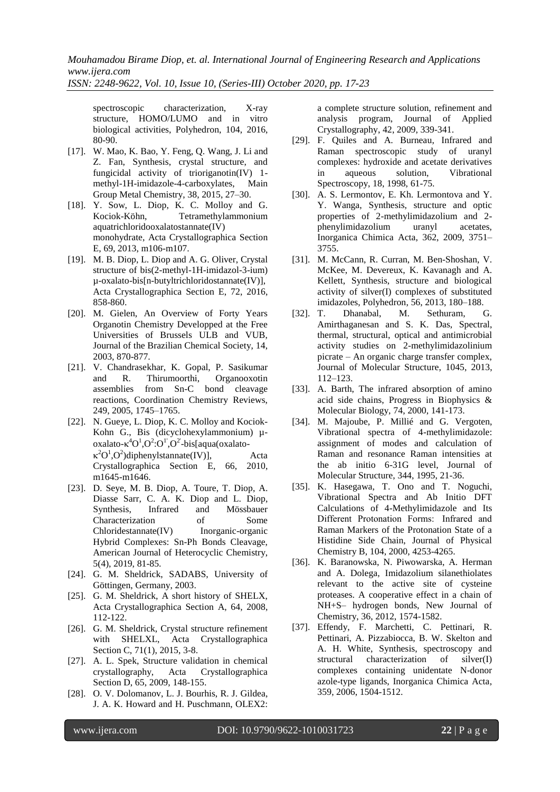*Mouhamadou Birame Diop, et. al. International Journal of Engineering Research and Applications www.ijera.com*

*ISSN: 2248-9622, Vol. 10, Issue 10, (Series-III) October 2020, pp. 17-23*

spectroscopic characterization, X-ray structure, HOMO/LUMO and in vitro biological activities, Polyhedron, 104, 2016, 80-90.

- [17]. W. Mao, K. Bao, Y. Feng, Q. Wang, J. Li and Z. Fan, Synthesis, crystal structure, and fungicidal activity of trioriganotin(IV) 1 methyl-1H-imidazole-4-carboxylates, Main Group Metal Chemistry, 38, 2015, 27–30.
- [18]. Y. Sow, L. Diop, K. C. Molloy and G. Kociok-Köhn, Tetramethylammonium aquatrichloridooxalatostannate(IV) monohydrate, Acta Crystallographica Section E, 69, 2013, m106-m107.
- [19]. M. B. Diop, L. Diop and A. G. Oliver, Crystal structure of bis(2-methyl-1H-imidazol-3-ium) µ-oxalato-bis[n-butyltrichloridostannate(IV)], Acta Crystallographica Section E, 72, 2016, 858-860.
- [20]. M. Gielen, An Overview of Forty Years Organotin Chemistry Developped at the Free Universities of Brussels ULB and VUB, Journal of the Brazilian Chemical Society, 14, 2003, 870-877.
- [21]. V. Chandrasekhar, K. Gopal, P. Sasikumar and R. Thirumoorthi, Organooxotin assemblies from Sn-C bond cleavage reactions, Coordination Chemistry Reviews, 249, 2005, 1745–1765.
- [22]. N. Gueye, L. Diop, K. C. Molloy and Kociok-Kohn G., Bis (dicyclohexylammonium) µ $oxalato- $\kappa$ <sup>4</sup>O<sup>1</sup>,O<sup>2</sup>:O<sup>1</sup>,O<sup>2</sup>-bis[aqua(oxalato \kappa^2 O^1$ , $O^2$ )diphenylstannate(IV)], Acta Crystallographica Section E, 66, 2010, m1645-m1646.
- [23]. D. Seye, M. B. Diop, A. Toure, T. Diop, A. Diasse Sarr, C. A. K. Diop and L. Diop, Synthesis, Infrared and Mössbauer Characterization of Some Chloridestannate(IV) Inorganic-organic Hybrid Complexes: Sn-Ph Bonds Cleavage, American Journal of Heterocyclic Chemistry, 5(4), 2019, 81-85.
- [24]. G. M. Sheldrick, SADABS, University of Göttingen, Germany, 2003.
- [25]. G. M. Sheldrick, A short history of SHELX, Acta Crystallographica Section A, 64, 2008, 112-122.
- [26]. G. M. Sheldrick, Crystal structure refinement with SHELXL, Acta Crystallographica Section C, 71(1), 2015, 3-8.
- [27]. A. L. Spek, Structure validation in chemical crystallography, Acta Crystallographica Section D, 65, 2009, 148-155.
- [28]. O. V. Dolomanov, L. J. Bourhis, R. J. Gildea, J. A. K. Howard and H. Puschmann, OLEX2:

a complete structure solution, refinement and analysis program, Journal of Applied Crystallography, 42, 2009, 339-341.

- [29]. F. Quiles and A. Burneau, Infrared and Raman spectroscopic study of uranyl complexes: hydroxide and acetate derivatives in aqueous solution, Vibrational Spectroscopy, 18, 1998, 61-75.
- [30]. A. S. Lermontov, E. Kh. Lermontova and Y. Y. Wanga, Synthesis, structure and optic properties of 2-methylimidazolium and 2 phenylimidazolium uranyl acetates, Inorganica Chimica Acta, 362, 2009, 3751– 3755.
- [31]. M. McCann, R. Curran, M. Ben-Shoshan, V. McKee, M. Devereux, K. Kavanagh and A. Kellett, Synthesis, structure and biological activity of silver(I) complexes of substituted imidazoles, Polyhedron, 56, 2013, 180–188.
- [32]. T. Dhanabal, M. Sethuram, G. Amirthaganesan and S. K. Das, Spectral, thermal, structural, optical and antimicrobial activity studies on 2-methylimidazolinium picrate – An organic charge transfer complex, Journal of Molecular Structure, 1045, 2013, 112–123.
- [33]. A. Barth, The infrared absorption of amino acid side chains, Progress in Biophysics & Molecular Biology, 74, 2000, 141-173.
- [34]. M. Majoube, P. Millié and G. Vergoten, Vibrational spectra of 4-methylimidazole: assignment of modes and calculation of Raman and resonance Raman intensities at the ab initio 6-31G level, Journal of Molecular Structure, 344, 1995, 21-36.
- [35]. K. Hasegawa, T. Ono and T. Noguchi, Vibrational Spectra and Ab Initio DFT Calculations of 4-Methylimidazole and Its Different Protonation Forms:  Infrared and Raman Markers of the Protonation State of a Histidine Side Chain, Journal of Physical Chemistry B, 104, 2000, 4253-4265.
- [36]. K. Baranowska, N. Piwowarska, A. Herman and A. Dolega, Imidazolium silanethiolates relevant to the active site of cysteine proteases. A cooperative effect in a chain of NH+S– hydrogen bonds, New Journal of Chemistry, 36, 2012, 1574-1582.
- [37]. Effendy, F. Marchetti, C. Pettinari, R. Pettinari, A. Pizzabiocca, B. W. Skelton and A. H. White, Synthesis, spectroscopy and structural characterization of silver(I) complexes containing unidentate N-donor azole-type ligands, Inorganica Chimica Acta, 359, 2006, 1504-1512.